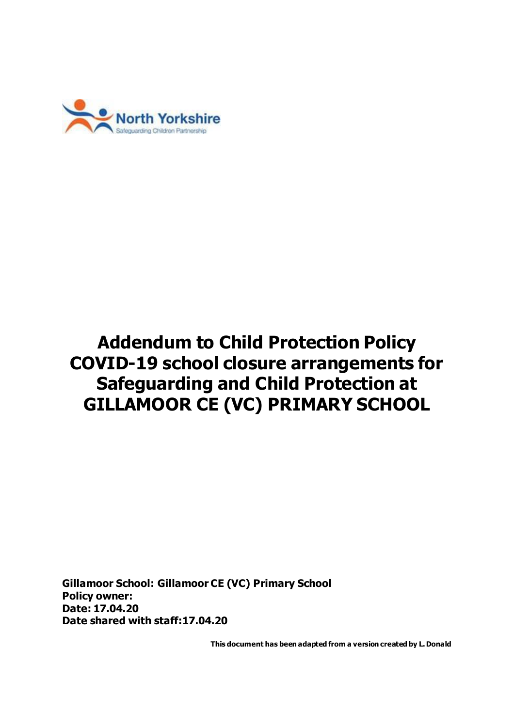

# **Addendum to Child Protection Policy COVID-19 school closure arrangements for Safeguarding and Child Protection at GILLAMOOR CE (VC) PRIMARY SCHOOL**

**Gillamoor School: Gillamoor CE (VC) Primary School Policy owner: Date: 17.04.20 Date shared with staff:17.04.20**

**This document has been adapted from a version created by L. Donald**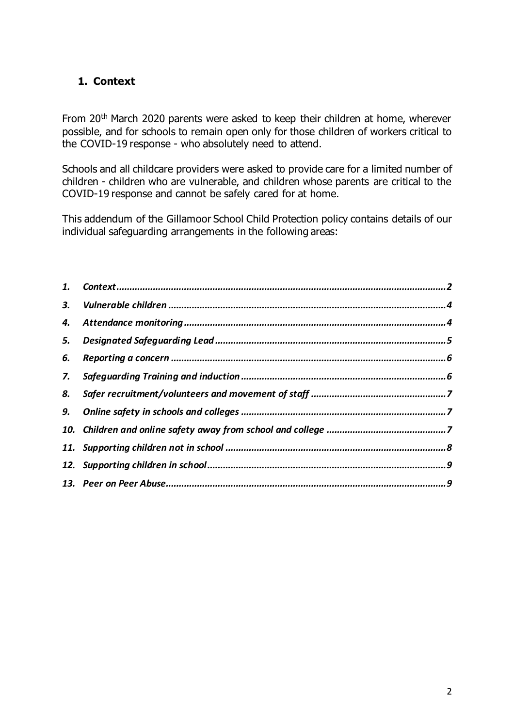# <span id="page-1-0"></span>**1. Context**

From 20th March 2020 parents were asked to keep their children at home, wherever possible, and for schools to remain open only for those children of workers critical to the COVID-19 response - who absolutely need to attend.

Schools and all childcare providers were asked to provide care for a limited number of children - children who are vulnerable, and children whose parents are critical to the COVID-19 response and cannot be safely cared for at home.

This addendum of the Gillamoor School Child Protection policy contains details of our individual safeguarding arrangements in the following areas:

| 3. |  |
|----|--|
|    |  |
|    |  |
| 6. |  |
| 7. |  |
| 8. |  |
|    |  |
|    |  |
|    |  |
|    |  |
|    |  |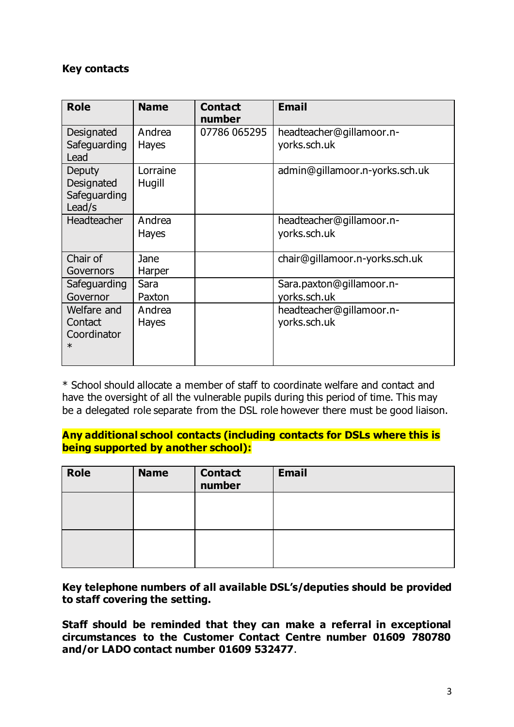#### **Key contacts**

| <b>Role</b>                                     | <b>Name</b>            | <b>Contact</b><br>number | <b>Email</b>                             |
|-------------------------------------------------|------------------------|--------------------------|------------------------------------------|
| Designated<br>Safeguarding<br>Lead              | Andrea<br><b>Hayes</b> | 07786 065295             | headteacher@gillamoor.n-<br>yorks.sch.uk |
| Deputy<br>Designated<br>Safeguarding<br>Lead/s  | Lorraine<br>Hugill     |                          | admin@gillamoor.n-yorks.sch.uk           |
| Headteacher                                     | Andrea<br><b>Hayes</b> |                          | headteacher@gillamoor.n-<br>yorks.sch.uk |
| Chair of<br>Governors                           | Jane<br>Harper         |                          | chair@gillamoor.n-yorks.sch.uk           |
| Safeguarding<br>Governor                        | Sara<br>Paxton         |                          | Sara.paxton@gillamoor.n-<br>yorks.sch.uk |
| Welfare and<br>Contact<br>Coordinator<br>$\ast$ | Andrea<br><b>Hayes</b> |                          | headteacher@gillamoor.n-<br>yorks.sch.uk |

\* School should allocate a member of staff to coordinate welfare and contact and have the oversight of all the vulnerable pupils during this period of time. This may be a delegated role separate from the DSL role however there must be good liaison.

# **Any additional school contacts (including contacts for DSLs where this is being supported by another school):**

| <b>Role</b> | <b>Name</b> | <b>Contact</b><br>number | <b>Email</b> |
|-------------|-------------|--------------------------|--------------|
|             |             |                          |              |
|             |             |                          |              |

**Key telephone numbers of all available DSL's/deputies should be provided to staff covering the setting.**

**Staff should be reminded that they can make a referral in exceptional circumstances to the Customer Contact Centre number 01609 780780 and/or LADO contact number 01609 532477**.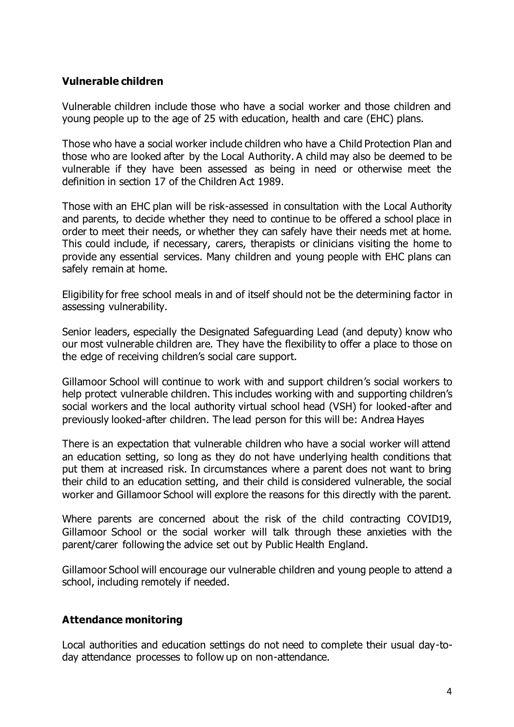# <span id="page-3-0"></span>**Vulnerable children**

Vulnerable children include those who have a social worker and those children and young people up to the age of 25 with education, health and care (EHC) plans.

Those who have a social worker include children who have a Child Protection Plan and those who are looked after by the Local Authority. A child may also be deemed to be vulnerable if they have been assessed as being in need or otherwise meet the definition in section 17 of the Children Act 1989.

Those with an EHC plan will be risk-assessed in consultation with the Local Authority and parents, to decide whether they need to continue to be offered a school place in order to meet their needs, or whether they can safely have their needs met at home. This could include, if necessary, carers, therapists or clinicians visiting the home to provide any essential services. Many children and young people with EHC plans can safely remain at home.

Eligibility for free school meals in and of itself should not be the determining factor in assessing vulnerability.

Senior leaders, especially the Designated Safeguarding Lead (and deputy) know who our most vulnerable children are. They have the flexibility to offer a place to those on the edge of receiving children's social care support.

Gillamoor School will continue to work with and support children's social workers to help protect vulnerable children. This includes working with and supporting children's social workers and the local authority virtual school head (VSH) for looked-after and previously looked-after children. The lead person for this will be: Andrea Hayes

There is an expectation that vulnerable children who have a social worker will attend an education setting, so long as they do not have underlying health conditions that put them at increased risk. In circumstances where a parent does not want to bring their child to an education setting, and their child is considered vulnerable, the social worker and Gillamoor School will explore the reasons for this directly with the parent.

Where parents are concerned about the risk of the child contracting COVID19, Gillamoor School or the social worker will talk through these anxieties with the parent/carer following the advice set out by Public Health England.

Gillamoor School will encourage our vulnerable children and young people to attend a school, including remotely if needed.

# <span id="page-3-1"></span>**Attendance monitoring**

Local authorities and education settings do not need to complete their usual day-today attendance processes to follow up on non-attendance.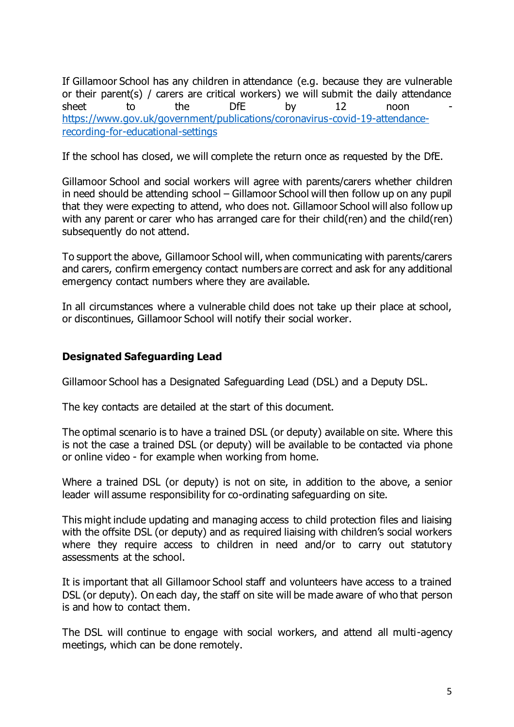If Gillamoor School has any children in attendance (e.g. because they are vulnerable or their parent(s) / carers are critical workers) we will submit the daily attendance sheet to the DfE by 12 noon [https://www.gov.uk/government/publications/coronavirus-covid-19-attendance](https://www.gov.uk/government/publications/coronavirus-covid-19-attendance-recording-for-educational-settings)[recording-for-educational-settings](https://www.gov.uk/government/publications/coronavirus-covid-19-attendance-recording-for-educational-settings)

If the school has closed, we will complete the return once as requested by the DfE.

Gillamoor School and social workers will agree with parents/carers whether children in need should be attending school – Gillamoor School will then follow up on any pupil that they were expecting to attend, who does not. Gillamoor School will also follow up with any parent or carer who has arranged care for their child(ren) and the child(ren) subsequently do not attend.

To support the above, Gillamoor School will, when communicating with parents/carers and carers, confirm emergency contact numbers are correct and ask for any additional emergency contact numbers where they are available.

In all circumstances where a vulnerable child does not take up their place at school, or discontinues, Gillamoor School will notify their social worker.

#### <span id="page-4-0"></span>**Designated Safeguarding Lead**

Gillamoor School has a Designated Safeguarding Lead (DSL) and a Deputy DSL.

The key contacts are detailed at the start of this document.

The optimal scenario is to have a trained DSL (or deputy) available on site. Where this is not the case a trained DSL (or deputy) will be available to be contacted via phone or online video - for example when working from home.

Where a trained DSL (or deputy) is not on site, in addition to the above, a senior leader will assume responsibility for co-ordinating safeguarding on site.

This might include updating and managing access to child protection files and liaising with the offsite DSL (or deputy) and as required liaising with children's social workers where they require access to children in need and/or to carry out statutory assessments at the school.

It is important that all Gillamoor School staff and volunteers have access to a trained DSL (or deputy). On each day, the staff on site will be made aware of who that person is and how to contact them.

The DSL will continue to engage with social workers, and attend all multi-agency meetings, which can be done remotely.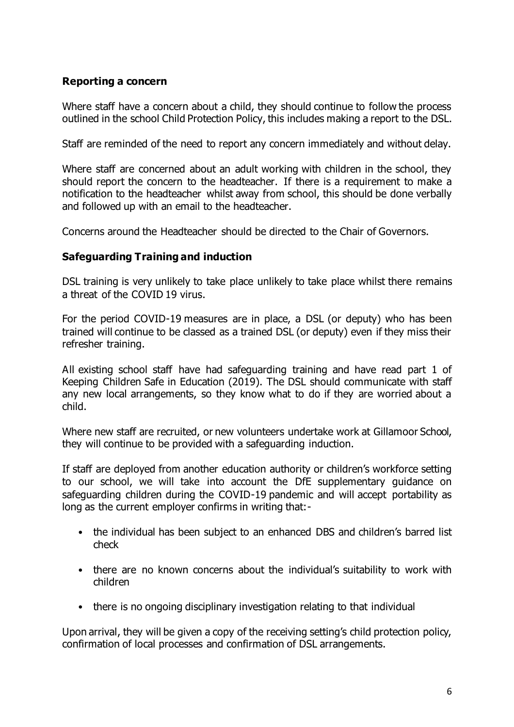# <span id="page-5-0"></span>**Reporting a concern**

Where staff have a concern about a child, they should continue to follow the process outlined in the school Child Protection Policy, this includes making a report to the DSL.

Staff are reminded of the need to report any concern immediately and without delay.

Where staff are concerned about an adult working with children in the school, they should report the concern to the headteacher. If there is a requirement to make a notification to the headteacher whilst away from school, this should be done verbally and followed up with an email to the headteacher.

Concerns around the Headteacher should be directed to the Chair of Governors.

#### <span id="page-5-1"></span>**Safeguarding Training and induction**

DSL training is very unlikely to take place unlikely to take place whilst there remains a threat of the COVID 19 virus.

For the period COVID-19 measures are in place, a DSL (or deputy) who has been trained will continue to be classed as a trained DSL (or deputy) even if they miss their refresher training.

All existing school staff have had safeguarding training and have read part 1 of Keeping Children Safe in Education (2019). The DSL should communicate with staff any new local arrangements, so they know what to do if they are worried about a child.

Where new staff are recruited, or new volunteers undertake work at Gillamoor School, they will continue to be provided with a safeguarding induction.

If staff are deployed from another education authority or children's workforce setting to our school, we will take into account the DfE supplementary guidance on safeguarding children during the COVID-19 pandemic and will accept portability as long as the current employer confirms in writing that:-

- the individual has been subject to an enhanced DBS and children's barred list check
- there are no known concerns about the individual's suitability to work with children
- there is no ongoing disciplinary investigation relating to that individual

Upon arrival, they will be given a copy of the receiving setting's child protection policy, confirmation of local processes and confirmation of DSL arrangements.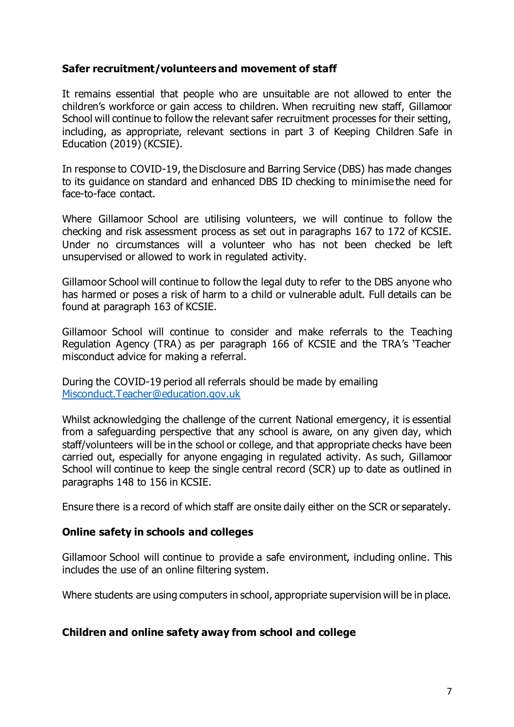# <span id="page-6-0"></span>**Safer recruitment/volunteers and movement of staff**

It remains essential that people who are unsuitable are not allowed to enter the children's workforce or gain access to children. When recruiting new staff, Gillamoor School will continue to follow the relevant safer recruitment processes for their setting, including, as appropriate, relevant sections in part 3 of Keeping Children Safe in Education (2019) (KCSIE).

In response to COVID-19, the Disclosure and Barring Service (DBS) has made changes to its guidance on standard and enhanced DBS ID checking to minimise the need for face-to-face contact.

Where Gillamoor School are utilising volunteers, we will continue to follow the checking and risk assessment process as set out in paragraphs 167 to 172 of KCSIE. Under no circumstances will a volunteer who has not been checked be left unsupervised or allowed to work in regulated activity.

Gillamoor School will continue to follow the legal duty to refer to the DBS anyone who has harmed or poses a risk of harm to a child or vulnerable adult. Full details can be found at paragraph 163 of KCSIE.

Gillamoor School will continue to consider and make referrals to the Teaching Regulation Agency (TRA) as per paragraph 166 of KCSIE and the TRA's 'Teacher misconduct advice for making a referral.

During the COVID-19 period all referrals should be made by emailing [Misconduct.Teacher@education.gov.uk](mailto:Misconduct.Teacher@education.gov.uk)

Whilst acknowledging the challenge of the current National emergency, it is essential from a safeguarding perspective that any school is aware, on any given day, which staff/volunteers will be in the school or college, and that appropriate checks have been carried out, especially for anyone engaging in regulated activity. As such, Gillamoor School will continue to keep the single central record (SCR) up to date as outlined in paragraphs 148 to 156 in KCSIE.

Ensure there is a record of which staff are onsite daily either on the SCR or separately.

#### <span id="page-6-1"></span>**Online safety in schools and colleges**

Gillamoor School will continue to provide a safe environment, including online. This includes the use of an online filtering system.

Where students are using computers in school, appropriate supervision will be in place.

#### <span id="page-6-2"></span>**Children and online safety away from school and college**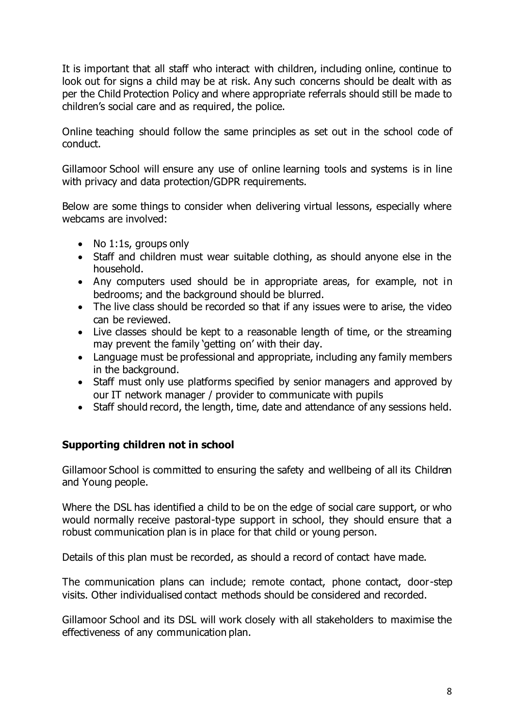It is important that all staff who interact with children, including online, continue to look out for signs a child may be at risk. Any such concerns should be dealt with as per the Child Protection Policy and where appropriate referrals should still be made to children's social care and as required, the police.

Online teaching should follow the same principles as set out in the school code of conduct.

Gillamoor School will ensure any use of online learning tools and systems is in line with privacy and data protection/GDPR requirements.

Below are some things to consider when delivering virtual lessons, especially where webcams are involved:

- No 1:1s, groups only
- Staff and children must wear suitable clothing, as should anyone else in the household.
- Any computers used should be in appropriate areas, for example, not in bedrooms; and the background should be blurred.
- The live class should be recorded so that if any issues were to arise, the video can be reviewed.
- Live classes should be kept to a reasonable length of time, or the streaming may prevent the family 'getting on' with their day.
- Language must be professional and appropriate, including any family members in the background.
- Staff must only use platforms specified by senior managers and approved by our IT network manager / provider to communicate with pupils
- Staff should record, the length, time, date and attendance of any sessions held.

# <span id="page-7-0"></span>**Supporting children not in school**

Gillamoor School is committed to ensuring the safety and wellbeing of all its Children and Young people.

Where the DSL has identified a child to be on the edge of social care support, or who would normally receive pastoral-type support in school, they should ensure that a robust communication plan is in place for that child or young person.

Details of this plan must be recorded, as should a record of contact have made.

The communication plans can include; remote contact, phone contact, door-step visits. Other individualised contact methods should be considered and recorded.

Gillamoor School and its DSL will work closely with all stakeholders to maximise the effectiveness of any communication plan.